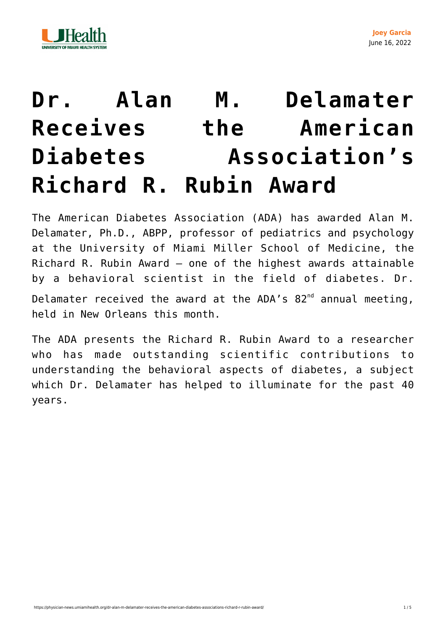



## **[Dr. Alan M. Delamater](https://physician-news.umiamihealth.org/dr-alan-m-delamater-receives-the-american-diabetes-associations-richard-r-rubin-award/) [Receives the American](https://physician-news.umiamihealth.org/dr-alan-m-delamater-receives-the-american-diabetes-associations-richard-r-rubin-award/) [Diabetes Association's](https://physician-news.umiamihealth.org/dr-alan-m-delamater-receives-the-american-diabetes-associations-richard-r-rubin-award/) [Richard R. Rubin Award](https://physician-news.umiamihealth.org/dr-alan-m-delamater-receives-the-american-diabetes-associations-richard-r-rubin-award/)**

The American Diabetes Association (ADA) has awarded Alan M. Delamater, Ph.D., ABPP, professor of pediatrics and psychology at the University of Miami Miller School of Medicine, the Richard R. Rubin Award — one of the highest awards attainable by a behavioral scientist in the field of diabetes. Dr. Delamater received the award at the ADA's  $82^{nd}$  annual meeting, held in New Orleans this month.

The ADA presents the Richard R. Rubin Award to a researcher who has made outstanding scientific contributions to understanding the behavioral aspects of diabetes, a subject which Dr. Delamater has helped to illuminate for the past 40 years.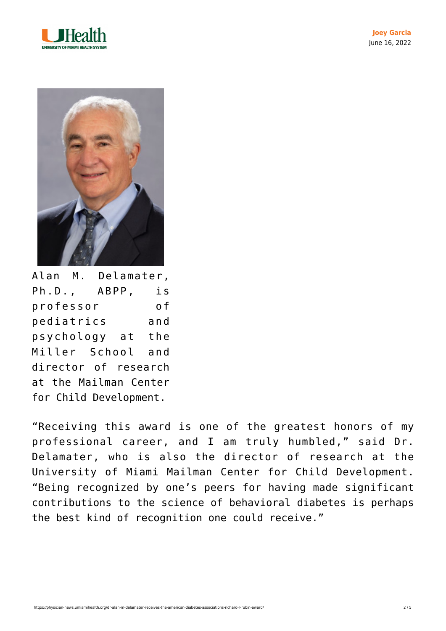



Alan M. Delamater, Ph.D., ABPP, is professor of pediatrics and psychology at the Miller School and director of research at the Mailman Center for Child Development.

"Receiving this award is one of the greatest honors of my professional career, and I am truly humbled," said Dr. Delamater, who is also the director of research at the University of Miami Mailman Center for Child Development. "Being recognized by one's peers for having made significant contributions to the science of behavioral diabetes is perhaps the best kind of recognition one could receive."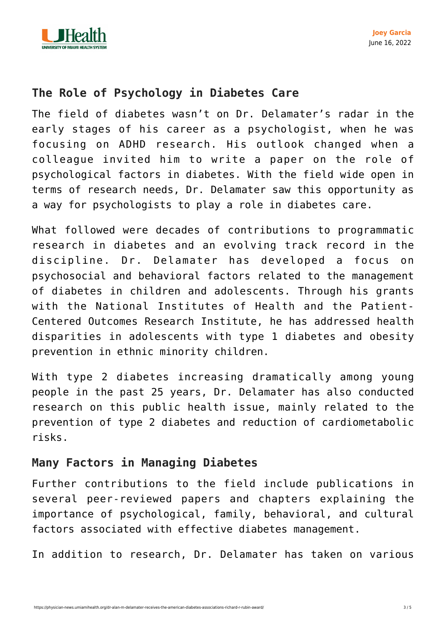

## **The Role of Psychology in Diabetes Care**

The field of diabetes wasn't on Dr. Delamater's radar in the early stages of his career as a psychologist, when he was focusing on ADHD research. His outlook changed when a colleague invited him to write a paper on the role of psychological factors in diabetes. With the field wide open in terms of research needs, Dr. Delamater saw this opportunity as a way for psychologists to play a role in diabetes care.

What followed were decades of contributions to programmatic research in diabetes and an evolving track record in the discipline. Dr. Delamater has developed a focus on psychosocial and behavioral factors related to the management of diabetes in children and adolescents. Through his grants with the National Institutes of Health and the Patient-Centered Outcomes Research Institute, he has addressed health disparities in adolescents with type 1 diabetes and obesity prevention in ethnic minority children.

With type 2 diabetes increasing dramatically among young people in the past 25 years, Dr. Delamater has also conducted research on this public health issue, mainly related to the prevention of type 2 diabetes and reduction of cardiometabolic risks.

## **Many Factors in Managing Diabetes**

Further contributions to the field include publications in several peer-reviewed papers and chapters explaining the importance of psychological, family, behavioral, and cultural factors associated with effective diabetes management.

In addition to research, Dr. Delamater has taken on various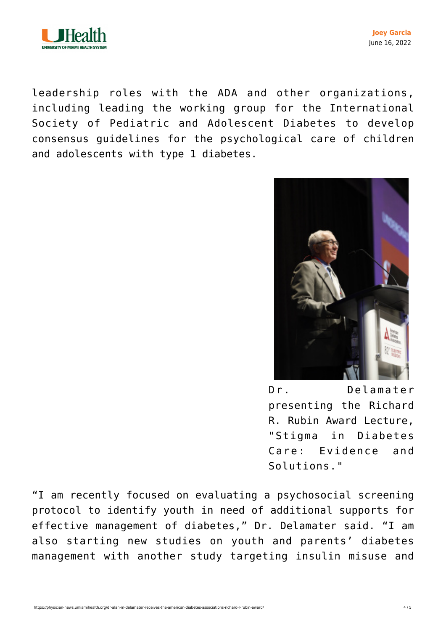

**Joey Garcia** June 16, 2022

leadership roles with the ADA and other organizations, including leading the working group for the International Society of Pediatric and Adolescent Diabetes to develop consensus guidelines for the psychological care of children and adolescents with type 1 diabetes.



Dr. Delamater presenting the Richard R. Rubin Award Lecture, "Stigma in Diabetes Care: Evidence and Solutions."

"I am recently focused on evaluating a psychosocial screening protocol to identify youth in need of additional supports for effective management of diabetes," Dr. Delamater said. "I am also starting new studies on youth and parents' diabetes management with another study targeting insulin misuse and